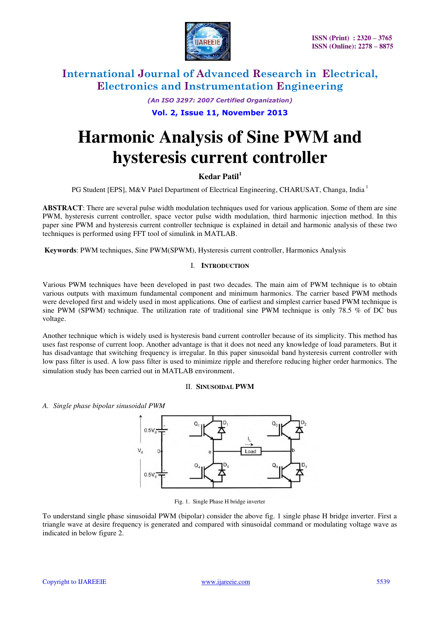

*(An ISO 3297: 2007 Certified Organization)* 

### **Vol. 2, Issue 11, November 2013**

# **Harmonic Analysis of Sine PWM and hysteresis current controller**

# **Kedar Patil<sup>1</sup>**

PG Student [EPS], M&V Patel Department of Electrical Engineering, CHARUSAT, Changa, India<sup>1</sup>

**ABSTRACT**: There are several pulse width modulation techniques used for various application. Some of them are sine PWM, hysteresis current controller, space vector pulse width modulation, third harmonic injection method. In this paper sine PWM and hysteresis current controller technique is explained in detail and harmonic analysis of these two techniques is performed using FFT tool of simulink in MATLAB.

 **Keywords**: PWM techniques, Sine PWM(SPWM), Hysteresis current controller, Harmonics Analysis

#### I. **INTRODUCTION**

Various PWM techniques have been developed in past two decades. The main aim of PWM technique is to obtain various outputs with maximum fundamental component and minimum harmonics. The carrier based PWM methods were developed first and widely used in most applications. One of earliest and simplest carrier based PWM technique is sine PWM (SPWM) technique. The utilization rate of traditional sine PWM technique is only 78.5 % of DC bus voltage.

Another technique which is widely used is hysteresis band current controller because of its simplicity. This method has uses fast response of current loop. Another advantage is that it does not need any knowledge of load parameters. But it has disadvantage that switching frequency is irregular. In this paper sinusoidal band hysteresis current controller with low pass filter is used. A low pass filter is used to minimize ripple and therefore reducing higher order harmonics. The simulation study has been carried out in MATLAB environment.

#### II. **SINUSOIDAL PWM**

*A. Single phase bipolar sinusoidal PWM* 



Fig. 1. Single Phase H bridge inverter

To understand single phase sinusoidal PWM (bipolar) consider the above fig. 1 single phase H bridge inverter. First a triangle wave at desire frequency is generated and compared with sinusoidal command or modulating voltage wave as indicated in below figure 2.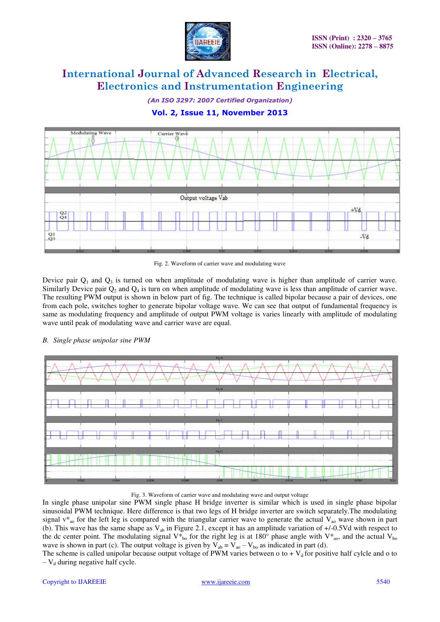

*(An ISO 3297: 2007 Certified Organization)* 

# **Vol. 2, Issue 11, November 2013**



Fig. 2. Waveform of carrier wave and modulating wave

Device pair  $Q_1$  and  $Q_3$  is turned on when amplitude of modulating wave is higher than amplitude of carrier wave. Similarly Device pair  $Q_2$  and  $Q_4$  is turn on when amplitude of modulating wave is less than amplitude of carrier wave. The resulting PWM output is shown in below part of fig. The technique is called bipolar because a pair of devices, one from each pole, switches togher to generate bipolar voltage wave. We can see that output of fundamental frequency is same as modulating frequency and amplitude of output PWM voltage is varies linearly with amplitude of modulating wave until peak of modulating wave and carrier wave are equal.

### *B. Single phase unipolar sine PWM*



Fig. 3. Waveform of carrier wave and modulating wave and output voltage

In single phase unipolar sine PWM single phase H bridge inverter is similar which is used in single phase bipolar sinusoidal PWM technique. Here difference is that two legs of H bridge inverter are switch separately.The modulating signal  $v^*_{\alpha}$  for the left leg is compared with the triangular carrier wave to generate the actual  $V_{\alpha}$  wave shown in part (b). This wave has the same shape as  $V_{ab}$  in Figure 2.1, except it has an amplitude variation of  $+/-0.5Vd$  with respect to the dc center point. The modulating signal  $V_{b_0}^*$  for the right leg is at 180° phase angle with  $V_{a_0}^*$ , and the actual  $V_{b_0}$ wave is shown in part (c). The output voltage is given by  $V_{ab} = V_{ao} - V_{bo}$  as indicated in part (d).

The scheme is called unipolar because output voltage of PWM varies between o to +  $V<sub>d</sub>$  for positive half cylcle and o to  $-V_d$  during negative half cycle.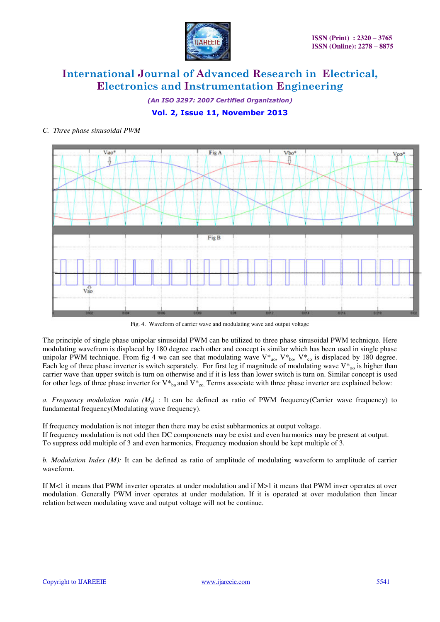

*(An ISO 3297: 2007 Certified Organization)* 

# **Vol. 2, Issue 11, November 2013**

### *C. Three phase sinusoidal PWM*



Fig. 4. Waveform of carrier wave and modulating wave and output voltage

The principle of single phase unipolar sinusoidal PWM can be utilized to three phase sinusoidal PWM technique. Here modulating wavefrom is displaced by 180 degree each other and concept is similar which has been used in single phase unipolar PWM technique. From fig 4 we can see that modulating wave  $V^*_{a0}$ ,  $V^*_{b0}$ ,  $V^*_{c0}$  is displaced by 180 degree. Each leg of three phase inverter is switch separately. For first leg if magnitude of modulating wave  $V^*_{\alpha}$  is higher than carrier wave than upper switch is turn on otherwise and if it is less than lower switch is turn on. Similar concept is used for other legs of three phase inverter for  $V^*{}_{bo}$  and  $V^*{}_{co}$ . Terms associate with three phase inverter are explained below:

*a. Frequency modulation ratio* ( $M_f$ ) : It can be defined as ratio of PWM frequency(Carrier wave frequency) to fundamental frequency(Modulating wave frequency).

If frequency modulation is not integer then there may be exist subharmonics at output voltage. If frequency modulation is not odd then DC componenets may be exist and even harmonics may be present at output. To suppress odd multiple of 3 and even harmonics, Frequency moduaion should be kept multiple of 3.

*b. Modulation Index (M):* It can be defined as ratio of amplitude of modulating waveform to amplitude of carrier waveform.

If M<1 it means that PWM inverter operates at under modulation and if M>1 it means that PWM inver operates at over modulation. Generally PWM inver operates at under modulation. If it is operated at over modulation then linear relation between modulating wave and output voltage will not be continue.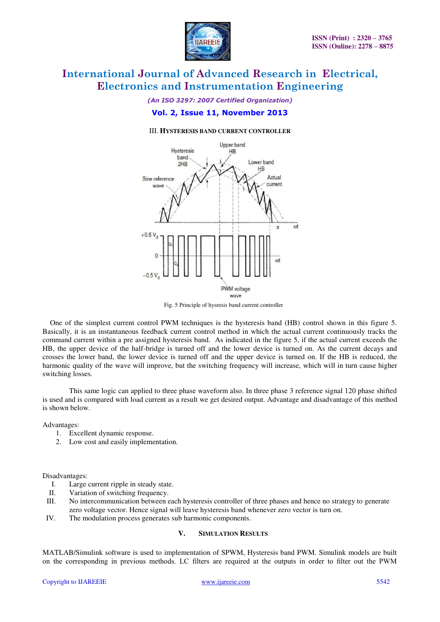

*(An ISO 3297: 2007 Certified Organization)* 

### **Vol. 2, Issue 11, November 2013**

#### III. **HYSTERESIS BAND CURRENT CONTROLLER**



Fig. 5 Principle of hysresis band current controller

One of the simplest current control PWM techniques is the hysteresis band (HB) control shown in this figure 5. Basically, it is an instantaneous feedback current control method in which the actual current continuously tracks the command current within a pre assigned hysteresis band. As indicated in the figure 5, if the actual current exceeds the HB, the upper device of the half-bridge is turned off and the lower device is turned on. As the current decays and crosses the lower band, the lower device is turned off and the upper device is turned on. If the HB is reduced, the harmonic quality of the wave will improve, but the switching frequency will increase, which will in turn cause higher switching losses.

This same logic can applied to three phase waveform also. In three phase 3 reference signal 120 phase shifted is used and is compared with load current as a result we get desired output. Advantage and disadvantage of this method is shown below.

#### Advantages:

- 1. Excellent dynamic response.
- 2. Low cost and easily implementation.

#### Disadvantages:

- I. Large current ripple in steady state.<br>II. Variation of switching frequency.
- Variation of switching frequency.
- III. No intercommunication between each hysteresis controller of three phases and hence no strategy to generate zero voltage vector. Hence signal will leave hysteresis band whenever zero vector is turn on.
- IV. The modulation process generates sub harmonic components.

#### **V. SIMULATION RESULTS**

MATLAB/Simulink software is used to implementation of SPWM, Hysteresis band PWM. Simulink models are built on the corresponding in previous methods. LC filters are required at the outputs in order to filter out the PWM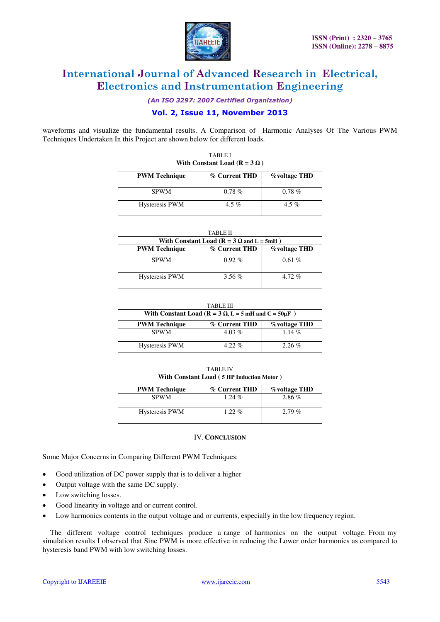

*(An ISO 3297: 2007 Certified Organization)* 

### **Vol. 2, Issue 11, November 2013**

waveforms and visualize the fundamental results. A Comparison of Harmonic Analyses Of The Various PWM Techniques Undertaken In this Project are shown below for different loads.

| <b>TABLEI</b>                         |               |                      |  |  |
|---------------------------------------|---------------|----------------------|--|--|
| With Constant Load ( $R = 3 \Omega$ ) |               |                      |  |  |
| <b>PWM</b> Technique                  | % Current THD | <b>%</b> voltage THD |  |  |
| <b>SPWM</b>                           | $0.78 \%$     | $0.78\%$             |  |  |
| <b>Hysteresis PWM</b>                 | 4.5 %         | 4.5 %                |  |  |

TABLE II

| With Constant Load ( $R = 3 \Omega$ and $L = 5mH$ ) |               |                      |  |
|-----------------------------------------------------|---------------|----------------------|--|
| <b>PWM</b> Technique                                | % Current THD | <b>%</b> voltage THD |  |
| <b>SPWM</b>                                         | $0.92\%$      | 0.61%                |  |
| <b>Hysteresis PWM</b>                               | $3.56\%$      | $4.72\%$             |  |

TABLE III

| With Constant Load ( $R = 3 \Omega$ , L = 5 mH and C = 50 $\mu$ F) |               |                      |  |
|--------------------------------------------------------------------|---------------|----------------------|--|
| <b>PWM Technique</b>                                               | % Current THD | <b>%</b> voltage THD |  |
| <b>SPWM</b>                                                        | $4.03\%$      | $1.14\%$             |  |
| <b>Hysteresis PWM</b>                                              | $4.22\%$      | $2.26\%$             |  |

| With Constant Load (5 HP Induction Motor) |               |                      |  |
|-------------------------------------------|---------------|----------------------|--|
| <b>PWM</b> Technique                      | % Current THD | <b>%</b> voltage THD |  |
| <b>SPWM</b>                               | $1.24\%$      | $2.86\%$             |  |
| <b>Hysteresis PWM</b>                     | $1.22\%$      | $2.79\%$             |  |

#### IV.**CONCLUSION**

Some Major Concerns in Comparing Different PWM Techniques:

- Good utilization of DC power supply that is to deliver a higher
- Output voltage with the same DC supply.
- Low switching losses.
- Good linearity in voltage and or current control.
- Low harmonics contents in the output voltage and or currents, especially in the low frequency region.

The different voltage control techniques produce a range of harmonics on the output voltage. From my simulation results I observed that Sine PWM is more effective in reducing the Lower order harmonics as compared to hysteresis band PWM with low switching losses.